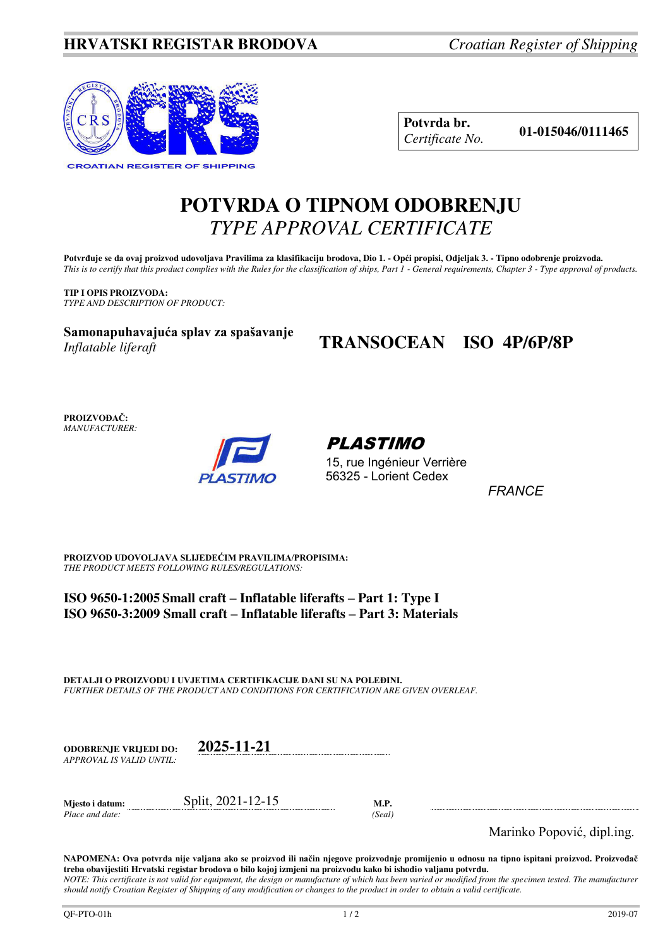### **HRVATSKI REGISTAR BRODOVA** *Croatian Register of Shipping*



**Potvrda br. 01-015046/0111465** *Certificate No.* 

# **POTVRDA O TIPNOM ODOBRENJU**  *TYPE APPROVAL CERTIFICATE*

**Potvrđuje se da ovaj proizvod udovoljava Pravilima za klasifikaciju brodova, Dio 1. - Opći propisi, Odjeljak 3. - Tipno odobrenje proizvoda.**  *This is to certify that this product complies with the Rules for the classification of ships, Part 1 - General requirements, Chapter 3 - Type approval of products.* 

**TIP I OPIS PROIZVODA:** *TYPE AND DESCRIPTION OF PRODUCT:* 

**Samonapuhavajuća splav za spašavanje**  *Inflatable liferaft*

# **TRANSOCEAN ISO 4P/6P/8P**

**PROIZVOĐAČ:** *MANUFACTURER:*



PLASTIMO

15, rue Ingénieur Verrière 56325 - Lorient Cedex

*FRANCE* 

**PROIZVOD UDOVOLJAVA SLIJEDEĆIM PRAVILIMA/PROPISIMA:** *THE PRODUCT MEETS FOLLOWING RULES/REGULATIONS:* 

**ISO 9650-1:2005 Small craft – Inflatable liferafts – Part 1: Type I ISO 9650-3:2009 Small craft – Inflatable liferafts – Part 3: Materials**

**DETALJI O PROIZVODU I UVJETIMA CERTIFIKACIJE DANI SU NA POLEĐINI.** *FURTHER DETAILS OF THE PRODUCT AND CONDITIONS FOR CERTIFICATION ARE GIVEN OVERLEAF.* 

**ODOBRENJE VRIJEDI DO: 2025-11-21** *APPROVAL IS VALID UNTIL:*

**Mjesto i datum:** Split, 2021-12-15 **M.P.**  *Place and date: (Seal)* 

Marinko Popović, dipl.ing.

**NAPOMENA: Ova potvrda nije valjana ako se proizvod ili način njegove proizvodnje promijenio u odnosu na tipno ispitani proizvod. Proizvođač treba obavijestiti Hrvatski registar brodova o bilo kojoj izmjeni na proizvodu kako bi ishodio valjanu potvrdu.**  *NOTE: This certificate is not valid for equipment, the design or manufacture of which has been varied or modified from the specimen tested. The manufacturer should notify Croatian Register of Shipping of any modification or changes to the product in order to obtain a valid certificate.*